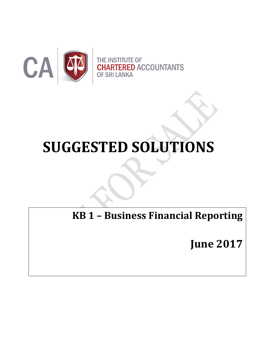

# **SUGGESTED SOLUTIONS**

**KB 1 – Business Financial Reporting**

**June 2017**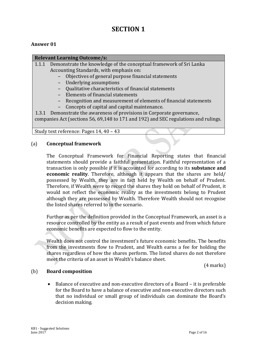# **SECTION 1**

# **Answer 01**

# **Relevant Learning Outcome/s:**

- 1.1.1 Demonstrate the knowledge of the conceptual framework of Sri Lanka Accounting Standards, with emphasis on:
	- Objectives of general purpose financial statements
	- Underlying assumptions
	- Qualitative characteristics of financial statements
	- Elements of financial statements
	- Recognition and measurement of elements of financial statements
	- Concepts of capital and capital maintenance.

1.3.1 Demonstrate the awareness of provisions in Corporate governance, companies Act (sections 56, 69,148 to 171 and 192) and SEC regulations and rulings.

Study text reference: Pages 14, 40 – 43

# (a) **Conceptual framework**

The Conceptual Framework for Financial Reporting states that financial statements should provide a faithful presentation. Faithful representation of a transaction is only possible if it is accounted for according to its **substance and economic reality**. Therefore, although it appears that the shares are held/ possessed by Wealth, they are in fact held by Wealth on behalf of Prudent. Therefore, if Wealth were to record the shares they hold on behalf of Prudent, it would not reflect the economic reality as the investments belong to Prudent although they are possessed by Wealth. Therefore Wealth should not recognise the listed shares referred to in the scenario.

Further as per the definition provided in the Conceptual Framework, an asset is a resource controlled by the entity as a result of past events and from which future economic benefits are expected to flow to the entity.

Wealth does not control the investment's future economic benefits. The benefits from the investments flow to Prudent, and Wealth earns a fee for holding the shares regardless of how the shares perform. The listed shares do not therefore meet the criteria of an asset in Wealth's balance sheet.

(4 marks)

# (b) **Board composition**

 Balance of executive and non-executive directors of a Board – it is preferable for the Board to have a balance of executive and non-executive directors such that no individual or small group of individuals can dominate the Board's decision making.

KB1 - Suggested Solutions June 2017 Page 2 of 16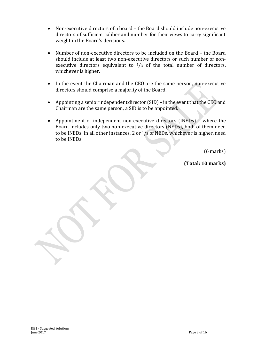- Non-executive directors of a board the Board should include non-executive directors of sufficient caliber and number for their views to carry significant weight in the Board's decisions.
- Number of non-executive directors to be included on the Board the Board should include at least two non-executive directors or such number of nonexecutive directors equivalent to  $\frac{1}{3}$  of the total number of directors, whichever is higher**.**
- In the event the Chairman and the CEO are the same person, non-executive directors should comprise a majority of the Board.
- Appointing a senior independent director (SID) in the event that the CEO and Chairman are the same person, a SID is to be appointed.
- Appointment of independent non-executive directors (INEDs) where the Board includes only two non-executive directors (NEDs), both of them need to be INEDs. In all other instances, 2 or  $\frac{1}{3}$  of NEDs, whichever is higher, need to be INEDs.

(6 marks)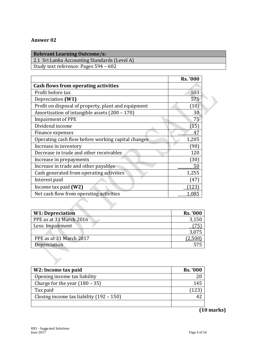| <b>Relevant Learning Outcome/s:</b> |  |  |
|-------------------------------------|--|--|
|                                     |  |  |

2.1 Sri Lanka Accounting Standards (Level A)

Study text reference: Pages 594 – 602

|                                                     | <b>Rs. '000</b> |
|-----------------------------------------------------|-----------------|
| Cash flows from operating activities                |                 |
| Profit before tax                                   | 503             |
| Depreciation (W1)                                   | 575             |
| Profit on disposal of property, plant and equipment | (10)            |
| Amortisation of intangible assets (200 - 170)       | 30              |
| <b>Impairment of PPE</b>                            | 75              |
| Dividend income                                     | (15)            |
| Finance expenses                                    | 47              |
| Operating cash flow before working capital changes  | 1,205           |
| Increase in inventory                               | (90)            |
| Decrease in trade and other receivables             | 120             |
| Increase in prepayments                             | (30)            |
| Increase in trade and other payables                | 50              |
| Cash generated from operating activities            | 1,255           |
| Interest paid                                       | (47)            |
| Income tax paid $(W2)$                              | 123             |
| Net cash flow from operating activities             | 1,085           |

| <b>W1: Depreciation</b> | <b>Rs. '000</b> |
|-------------------------|-----------------|
| PPE as at 31 March 2016 | 3,150           |
| Less: Impairment        |                 |
|                         | 3,075           |
| PPE as at 31 March 2017 |                 |
| Depreciation            | 575             |
|                         |                 |

| W2: Income tax paid                        | <b>Rs. '000</b> |
|--------------------------------------------|-----------------|
| Opening income tax liability               |                 |
| Charge for the year $(180 - 35)$           | 145             |
| Tax paid                                   | ้ 123           |
| Closing income tax liability $(192 - 150)$ |                 |
|                                            |                 |

# **(10 marks)**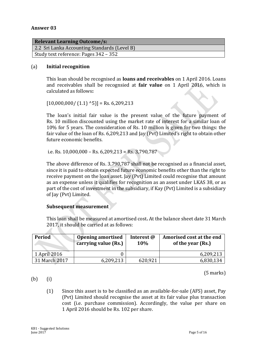| <b>Relevant Learning Outcome/s:</b>          |
|----------------------------------------------|
| 2.2 Sri Lanka Accounting Standards (Level B) |
| Study text reference: Pages 342 – 352        |
|                                              |

# (a) **Initial recognition**

This loan should be recognised as **loans and receivables** on 1 April 2016. Loans and receivables shall be recognsied at **fair value** on 1 April 2016, which is calculated as follows**:**

 $[10,000,000/ (1.1)$  ^5)] = Rs. 6,209,213

The loan's initial fair value is the present value of the future payment of Rs. 10 million discounted using the market rate of interest for a similar loan of 10% for 5 years. The consideration of Rs. 10 million is given for two things: the fair value of the loan of Rs. 6,209,213 and Jay (Pvt) Limited's right to obtain other future economic benefits.

i.e. Rs.  $10,000,000 -$  Rs.  $6,209,213 =$  Rs.  $3,790,787$ 

The above difference of Rs. 3,790,787 shall not be recognised as a financial asset, since it is paid to obtain expected future economic benefits other than the right to receive payment on the loan asset. Jay (Pvt) Limited could recognise that amount as an expense unless it qualifies for recognition as an asset under LKAS 38, or as part of the cost of investment in the subsidiary, if Kay (Pvt) Limited is a subsidiary of Jay (Pvt) Limited.

# **Subsequent measurement**

This loan shall be measured at amortised cost**.** At the balance sheet date 31 March 2017, it should be carried at as follows:

| Period        | <b>Opening amortised</b><br>carrying value (Rs.) | Interest @<br>10% | Amorised cost at the end<br>of the year (Rs.) |  |  |
|---------------|--------------------------------------------------|-------------------|-----------------------------------------------|--|--|
| 1 April 2016  |                                                  |                   | 6,209,213                                     |  |  |
| 31 March 2017 | 6,209,213                                        | 620,921           | 6,830,134                                     |  |  |

(5 marks)

(b) (i)

**Contract Contract State** 

(1) Since this asset is to be classified as an available-for-sale (AFS) asset, Pay (Pvt) Limited should recognise the asset at its fair value plus transaction cost (i.e. purchase commission). Accordingly, the value per share on 1 April 2016 should be Rs. 102 per share.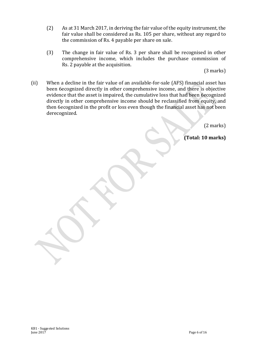- (2) As at 31 March 2017, in deriving the fair value of the equity instrument, the fair value shall be considered as Rs. 105 per share, without any regard to the commission of Rs. 4 payable per share on sale.
- (3) The change in fair value of Rs. 3 per share shall be recognised in other comprehensive income, which includes the purchase commission of Rs. 2 payable at the acquisition.

(3 marks)

(ii) When a decline in the fair value of an available-for-sale (AFS) financial asset has been 6ecognized directly in other comprehensive income, and there is objective evidence that the asset is impaired, the cumulative loss that had been 6ecognized directly in other comprehensive income should be reclassified from equity, and then 6ecognized in the profit or loss even though the financial asset has not been derecognized.

(2 marks)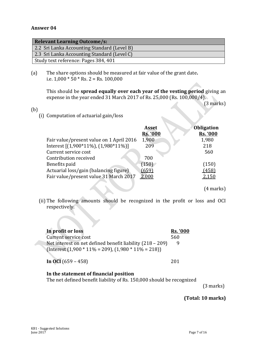| <b>Relevant Learning Outcome/s:</b>         |
|---------------------------------------------|
| 2.2 Sri Lanka Accounting Standard (Level B) |
| 2.3 Sri Lanka Accounting Standard (Level C) |
| Study text reference: Pages 384, 401        |

(a) The share options should be measured at fair value of the grant date**.** i.e.  $1,000 * 50 * Rs. 2 = Rs. 100,000$ 

This should be **spread equally over each year of the vesting period** giving an expense in the year ended 31 March 2017 of Rs. 25,000 (Rs. 100,000/4).

(3 marks)

(b)

(i) Computation of actuarial gain/loss

|                                          | <b>Asset</b><br><b>Rs. '000</b> | <b>Obligation</b><br><b>Rs. '000</b> |
|------------------------------------------|---------------------------------|--------------------------------------|
| Fair value/present value on 1 April 2016 | 1,900                           | 1,980                                |
| Interest $[(1,900*11\%), (1,980*11\%)]$  | 209                             | 218                                  |
| Current service cost                     |                                 | 560                                  |
| Contribution received                    | 700                             |                                      |
| Benefits paid                            | (150)                           | (150)                                |
| Actuarial loss/gain (balancing figure)   | (659)                           | (458)                                |
| Fair value/present value 31 March 2017   | 2,000                           | 2,150                                |

(4 marks)

(ii) The following amounts should be recognized in the profit or loss and OCI respectively.

| In profit or loss                                         | <b>Rs. '000</b> |
|-----------------------------------------------------------|-----------------|
| Current service cost                                      | 560             |
| Net interest on net defined benefit liability (218 – 209) |                 |
| $[Interest (1,900 * 11\% = 209), (1,980 * 11\% = 218)]$   |                 |
| In OCI $(659 - 458)$                                      | 201             |

### **In the statement of financial position** The net defined benefit liability of Rs. 150,000 should be recognized

(3 marks)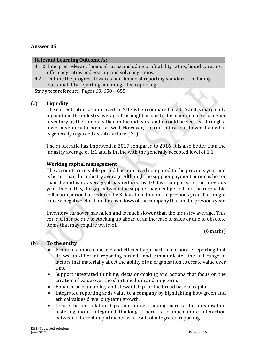| <b>Relevant Learning Outcome/s:</b>                                                          |
|----------------------------------------------------------------------------------------------|
| 4.1.2 Interpret relevant financial ratios, including profitability ratios, liquidity ratios, |
| efficiency ratios and gearing and solvency ratios.                                           |
| 4.2.1 Outline the progress towards non-financial reporting standards, including              |
| sustainability reporting and integrated reporting.                                           |

Study text reference: Pages 69, 650 – 655

# (a) **Liquidity**

The current ratio has improved in 2017 when compared to 2016 and is marginally higher than the industry average. This might be due to the maintenance of a higher inventory by the company than in the industry, and it could be verified through a lower inventory turnover as well. However, the current ratio is lower than what is generally regarded as satisfactory (2:1).

The quick ratio has improved in 2017 compared to 2016. It is also better than the industry average of 1:1 and is in line with the generally accepted level of 1:1

# **Working capital management**

The accounts receivable period has improved compared to the previous year and is better than the industry average. Although the supplier payment period is better than the industry average, it has reduced by 10 days compared to the previous year. Due to this, the gap between the supplier payment period and the receivable collection period has reduced by 3 days than that in the previous year. This might cause a negative effect on the cash flows of the company than in the previous year.

Inventory turnover has fallen and is much slower than the industry average. This could either be due to stocking up ahead of an increase of sales or due to obsolete items that may require write-off.

(6 marks)

# (b) **To the entity**

- Promote a more cohesive and efficient approach to corporate reporting that draws on different reporting strands and communicates the full range of factors that materially affect the ability of an organisation to create value over time.
- Support integrated thinking, decision-making and actions that focus on the creation of value over the short, medium and long term.
- Enhance accountability and stewardship for the broad base of capital.
- Integrated reporting adds value to a company by highlighting how green and ethical values drive long-term growth.
- Create better relationships and understanding across the organisation fostering more 'integrated thinking'. There is so much more interaction between different departments as a result of integrated reporting.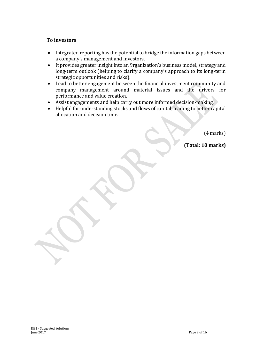# **To investors**

- Integrated reporting has the potential to bridge the information gaps between a company's management and investors.
- It provides greater insight into an 9rganization's business model, strategy and long-term outlook (helping to clarify a company's approach to its long-term strategic opportunities and risks).
- Lead to better engagement between the financial investment community and company management around material issues and the drivers for performance and value creation.
- Assist engagements and help carry out more informed decision-making.
- Helpful for understanding stocks and flows of capital, leading to better capital allocation and decision time.

(4 marks)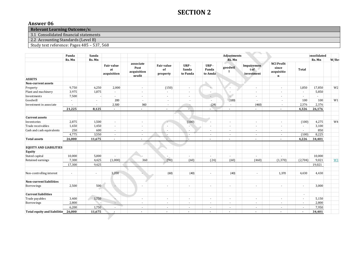# **SECTION 2**

### **Answer 06**

**Relevant Learning Outcome/s:** 

3.1 Consolidated financial statements

2.2 Accounting Standards (Level B)

Study text reference: Pages 485 – 537, 568

|                                    | Panda            | Sanda  |                                        | Adjustments                                |                                     | bnsolidated               |                          |                          |                                 |                                                         |         |        |                |
|------------------------------------|------------------|--------|----------------------------------------|--------------------------------------------|-------------------------------------|---------------------------|--------------------------|--------------------------|---------------------------------|---------------------------------------------------------|---------|--------|----------------|
|                                    | Rs. Mn<br>Rs. Mn |        |                                        |                                            | Rs. Mn                              |                           |                          |                          |                                 |                                                         | Rs. Mn  | W/Re   |                |
|                                    |                  |        | <b>Fair value</b><br>at<br>acquisition | associate<br>Post<br>acquisition<br>profit | <b>Fair value</b><br>of<br>property | URP-<br>Sanda<br>to Panda | URP-<br>Panda<br>to Amda | goodwil                  | Impairemen<br>tof<br>investment | <b>NCI Profit</b><br>since<br>acquisitio<br>$\mathbf n$ | Total   |        |                |
| <b>ASSETS</b>                      |                  |        |                                        |                                            |                                     |                           |                          |                          |                                 |                                                         |         |        |                |
| Non-current assets                 |                  |        |                                        |                                            |                                     |                           |                          |                          |                                 |                                                         |         |        |                |
| Property                           | 9,750            | 6,250  | 2,000                                  | $\blacksquare$                             | (150)                               | $\sim$                    | S,                       | $\sim$                   | ٠                               | ÷.                                                      | 1,850   | 17,850 | W <sub>2</sub> |
| Plant and machinery                | 3,975            | 1,875  | $\sim$                                 | $\overline{\phantom{a}}$                   | ÷.                                  | ÷.                        | $\overline{\phantom{a}}$ |                          | ٠                               | ÷.                                                      | $\sim$  | 5,850  |                |
| Investments                        | 7,500            |        | ÷.                                     | $\sim$                                     | $\sim$                              | $\sim$                    | $\overline{\phantom{a}}$ | $\overline{a}$           | $\sim$                          | $\sim$                                                  | $\sim$  | $\sim$ |                |
| Goodwill                           | $\omega$         | $\sim$ | 200                                    | $\sim$                                     | $\sim$                              | $\sim$                    | $\sim$                   | (100)                    | $\sim$                          | $\sim$                                                  | 100     | 100    | W1             |
| Investment in associate            | $\sim$           | $\sim$ | 2,500                                  | 360                                        | $\sim$                              | $\overline{\phantom{a}}$  | (24)                     | $\sim$                   | (460)                           | $\overline{\phantom{a}}$                                | 2,376   | 2,376  |                |
|                                    | 21,225           | 8,125  | $\blacksquare$                         | $\sim$                                     | $\overline{\phantom{a}}$            |                           | $\overline{\phantom{a}}$ |                          | $\blacksquare$                  | $\overline{\phantom{a}}$                                | 4,326   | 26,176 |                |
| <b>Current assets</b>              |                  |        |                                        |                                            |                                     |                           |                          |                          |                                 |                                                         |         |        |                |
| Inventories                        | 2,875            | 1,500  | $\sim$                                 | ×.                                         | $\sim$                              | (100)                     | $\overline{\phantom{a}}$ | $\sim$                   | $\sim$                          | $\sim$                                                  | (100)   | 4,275  | W <sub>4</sub> |
| Trade receivables                  | 1,650            | 1,450  | $\blacksquare$                         | ×.                                         | $\sim$                              |                           | $\overline{\phantom{a}}$ | $\sim$                   | ÷.                              | ÷.                                                      | $\sim$  | 3,100  |                |
| Cash and cash equivalents          | 250              | 600    | $\sim$                                 | ×.                                         | ٠                                   | $\sim$                    | $\sim$                   | $\sim$                   | $\sim$                          | $\sim$                                                  | $\sim$  | 850    |                |
|                                    | 4,775            | 3,550  | $\sim$                                 | ٠                                          |                                     |                           | $\blacksquare$           |                          | ٠                               | $\sim$                                                  | (100)   | 8,225  |                |
| <b>Total assets</b>                | 26,000           | 11,675 | $\overline{\phantom{a}}$               | $\overline{\phantom{a}}$                   | $\sim$                              |                           |                          |                          |                                 | $\overline{\phantom{a}}$                                | 4,226   | 34,401 |                |
| <b>EQUITY AND LIABILITIES</b>      |                  |        |                                        |                                            |                                     |                           |                          |                          |                                 |                                                         |         |        |                |
| Equity                             |                  |        |                                        |                                            |                                     |                           |                          |                          |                                 |                                                         |         |        |                |
| Stated capital                     | 10,000           | 5,000  | J.                                     |                                            | ÷.                                  | $\sim$                    | $\blacksquare$           | $\sim$                   | $\sim$                          | $\sim$                                                  |         | 10,000 |                |
| Retained earnings                  | 7,300            | 4,425  | (1,000)                                | 360                                        | (90)                                | (60)                      | (24)                     | (60)                     | (460)                           | (1, 370)                                                | (2,704) | 9,021  | W3             |
|                                    | 17,300           | 9,425  |                                        |                                            |                                     |                           |                          |                          |                                 |                                                         |         | 19,021 |                |
| Non-controlling interest           | ٠                | $\sim$ | 3,200                                  |                                            | (60)                                | (40)                      | $\overline{\phantom{a}}$ | (40)                     | $\sim$                          | 1,370                                                   | 4,430   | 4,430  |                |
| Non-current liabilities            |                  |        |                                        |                                            |                                     |                           |                          |                          |                                 |                                                         |         |        |                |
| Borrowings                         | 2,500            | 500    | $\overline{\phantom{a}}$               | ٠                                          | ٠                                   | $\overline{\phantom{a}}$  | $\blacksquare$           | $\sim$                   | ٠                               | $\sim$                                                  | $\sim$  | 3,000  |                |
| <b>Current liabilities</b>         |                  |        |                                        |                                            |                                     |                           |                          |                          |                                 |                                                         | $\sim$  |        |                |
| Trade payables                     | 3,400            | 1,750  |                                        | ٠                                          | ٠                                   | $\sim$                    | $\blacksquare$           | $\overline{\phantom{a}}$ | ٠                               | $\blacksquare$                                          | $\sim$  | 5,150  |                |
| Borrowings                         | 2,800            | $\sim$ | $\overline{\phantom{a}}$               | $\sim$                                     | ÷.                                  | $\sim$                    | $\overline{\phantom{a}}$ | $\sim$                   | ÷.                              | $\sim$                                                  | $\sim$  | 2,800  |                |
|                                    | 6,200            | 1,750  | ÷.                                     | ٠                                          | $\sim$                              |                           | $\blacksquare$           |                          | $\sim$                          | $\sim$                                                  | $\sim$  | 7,950  |                |
| Total equity and liabilitie 26,000 |                  | 11,675 |                                        | $\overline{\phantom{a}}$                   | $\blacksquare$                      | $\blacksquare$            | $\overline{\phantom{a}}$ |                          | $\blacksquare$                  | $\overline{\phantom{a}}$                                | ٠       | 34,401 |                |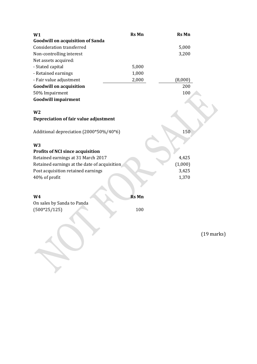| W1                                           | <b>Rs Mn</b> | <b>Rs Mn</b>         |
|----------------------------------------------|--------------|----------------------|
| <b>Goodwill on acquisition of Sanda</b>      |              |                      |
| <b>Consideration transferred</b>             |              | 5,000                |
| Non-controlling interest                     |              | 3,200                |
| Net assets acquired:                         |              |                      |
| - Stated capital                             | 5,000        |                      |
| - Retained earnings                          | 1,000        |                      |
| - Fair value adjustment                      | 2,000        | (8,000)              |
| <b>Goodwill on acquisition</b>               |              | 200                  |
| 50% Impairment                               |              | 100                  |
| <b>Goodwill impairment</b>                   |              |                      |
|                                              |              |                      |
| W <sub>2</sub>                               |              |                      |
| Depreciation of fair value adjustment        |              |                      |
| Additional depreciation (2000*50%/40*6)      |              | 150                  |
| W <sub>3</sub>                               |              |                      |
| <b>Profits of NCI since acquisition</b>      |              |                      |
| Retained earnings at 31 March 2017           |              | 4,425                |
| Retained earnings at the date of acquisition |              | (1,000)              |
| Post acquisition retained earnings           |              | 3,425                |
| 40% of profit                                |              | 1,370                |
|                                              |              |                      |
| W <sub>4</sub>                               | <b>Rs Mn</b> |                      |
| On sales by Sanda to Panda                   |              |                      |
| $(500*25/125)$                               | 100          |                      |
|                                              |              |                      |
|                                              |              |                      |
|                                              |              | $(19 \text{ marks})$ |

 $\overline{\phantom{a}}$ 

 $\mathscr{L}$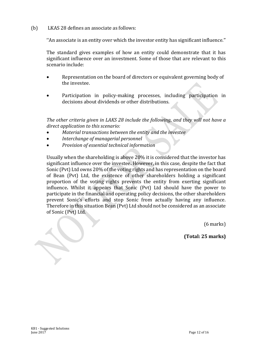# (b) LKAS 28 defines an associate as follows:

''An associate is an entity over which the investor entity has significant influence.''

The standard gives examples of how an entity could demonstrate that it has significant influence over an investment. Some of those that are relevant to this scenario include:

- Representation on the board of directors or equivalent governing body of the investee.
- Participation in policy-making processes, including participation in decisions about dividends or other distributions.

*The other criteria given in LAKS 28 include the following, and they will not have a direct application to this scenario:*

- *Material transactions between the entity and the investee*
- *Interchange of managerial personnel*
- *Provision of essential technical information*

Usually when the shareholding is above 20% it is considered that the investor has significant influence over the investee**.** However, in this case, despite the fact that Sonic (Pvt) Ltd owns 20% of the voting rights and has representation on the board of Bean (Pvt) Ltd, the existence of other shareholders holding a significant proportion of the voting rights prevents the entity from exerting significant influence**.** Whilst it appears that Sonic (Pvt) Ltd should have the power to participate in the financial and operating policy decisions, the other shareholders prevent Sonic's efforts and stop Sonic from actually having any influence. Therefore in this situation Bean (Pvt) Ltd should not be considered as an associate of Sonic (Pvt) Ltd.

(6 marks)

**(Total: 25 marks)**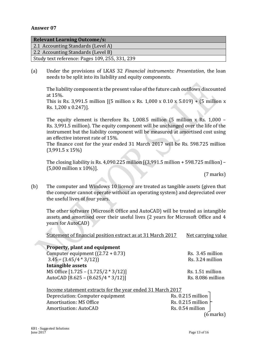| <b>Relevant Learning Outcome/s:</b>            |
|------------------------------------------------|
| 2.1 Accounting Standards (Level A)             |
| 2.2 Accounting Standards (Level B)             |
| Study text reference: Pages 109, 255, 331, 239 |

(a) Under the provisions of LKAS 32 *Financial instruments: Presentation*, the loan needs to be split into its liability and equity components.

The liability component is the present value of the future cash outflows discounted at 15%.

This is Rs. 3,991.5 million  $[(5 \text{ million x} \text{ Rs. } 1,000 \text{ x } 0.10 \text{ x } 5.019) + (5 \text{ million x})$ Rs. 1,200 x 0.247)].

The equity element is therefore Rs. 1,008.5 million (5 million x Rs. 1,000 – Rs. 3,991.5 million). The equity component will be unchanged over the life of the instrument but the liability component will be measured at amortised cost using an effective interest rate of 15%.

The finance cost for the year ended 31 March 2017 will be Rs. 598.725 million (3,991.5 x 15%)

The closing liability is Rs. 4,090.225 million [(3,991.5 million + 598.725 million) – (5,000 million x 10%)].

(7 marks)

(b) The computer and Windows 10 licence are treated as tangible assets (given that the computer cannot operate without an operating system) and depreciated over the useful lives of four years.

The other software (Microsoft Office and AutoCAD) will be treated as intangible assets and amortised over their useful lives (2 years for Microsoft Office and 4 years for AutoCAD)

Statement of financial position extract as at 31 March 2017 Net carrying value

| Property, plant and equipment                              |                           |
|------------------------------------------------------------|---------------------------|
| Computer equipment $((2.72 + 0.73))$                       | Rs. 3.45 million          |
| $3.45 - (3.45/4 * 3/12))$                                  | Rs. 3.24 million          |
| <b>Intangible assets</b>                                   |                           |
| MS Office [1.725 - (1.725/2 * 3/12)]                       | Rs. 1.51 million          |
| AutoCAD [8.625 - (8.625/4 * 3/12)]                         | Rs. 8.086 million         |
|                                                            |                           |
| Income statement extracts for the year ended 31 March 2017 |                           |
| Depreciation: Computer equipment                           | Rs. 0.215 million         |
| <b>Amortisation: MS Office</b>                             | Rs. 0.215 million $\vert$ |
| <b>Amortisation: AutoCAD</b>                               | Rs. 0.54 million          |

 $(6$  marks)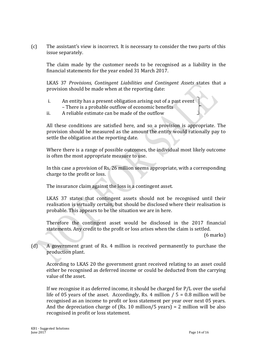(c) The assistant's view is incorrect. It is necessary to consider the two parts of this issue separately.

The claim made by the customer needs to be recognised as a liability in the financial statements for the year ended 31 March 2017.

LKAS 37 *Provisions, Contingent Liabilities and Contingent Assets* states that a provision should be made when at the reporting date:

- i. An entity has a present obligation arising out of a past event – There is a probable outflow of economic benefits
- ii. A reliable estimate can be made of the outflow

All these conditions are satisfied here, and so a provision is appropriate. The provision should be measured as the amount the entity would rationally pay to settle the obligation at the reporting date.

Where there is a range of possible outcomes, the individual most likely outcome is often the most appropriate measure to use.

In this case a provision of Rs. 26 million seems appropriate, with a corresponding charge to the profit or loss.

The insurance claim against the loss is a contingent asset.

LKAS 37 states that contingent assets should not be recognised until their realisation is virtually certain, but should be disclosed where their realisation is probable. This appears to be the situation we are in here.

Therefore the contingent asset would be disclosed in the 2017 financial statements. Any credit to the profit or loss arises when the claim is settled.

(6 marks)

(d) A government grant of Rs. 4 million is received permanently to purchase the production plant.

According to LKAS 20 the government grant received relating to an asset could either be recognised as deferred income or could be deducted from the carrying value of the asset.

If we recognise it as deferred income, it should be charged for P/L over the useful life of 05 years of the asset. Accordingly, Rs. 4 million  $/ 5 = 0.8$  million will be recognised as an income to profit or loss statement per year over next 05 years. And the depreciation charge of (Rs. 10 million/5 years) = 2 million will be also recognised in profit or loss statement.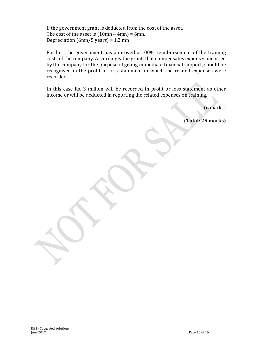If the government grant is deducted from the cost of the asset. The cost of the asset is  $(10mn - 4mn) = 6mn$ . Depreciation (6mn/5 years) = 1.2 mn

Further, the government has approved a 100% reimbursement of the training costs of the company. Accordingly the grant, that compensates expenses incurred by the company for the purpose of giving immediate financial support, should be recognised in the profit or loss statement in which the related expenses were recorded.

In this case Rs. 3 million will be recorded in profit or loss statement as other income or will be deducted in reporting the related expenses on training.

(6 marks)

**(Total: 25 marks)**